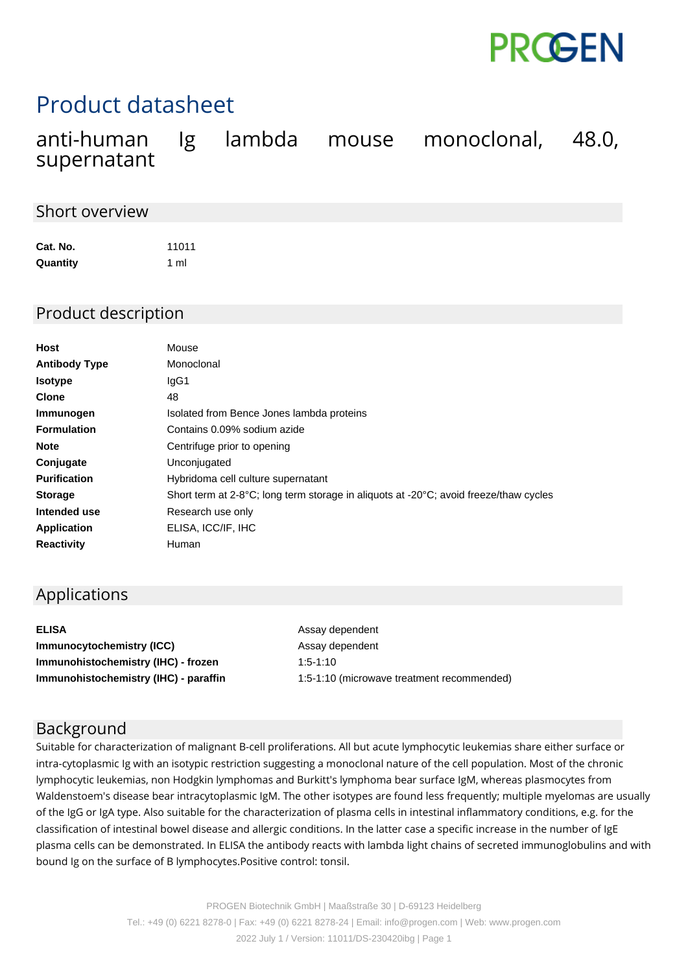

# Product datasheet

|             |  | anti-human Ig lambda mouse monoclonal, 48.0, |  |
|-------------|--|----------------------------------------------|--|
| supernatant |  |                                              |  |

### Short overview

| Cat. No. | 11011 |
|----------|-------|
| Quantity | 1 ml  |

## Product description

| Host                 | Mouse                                                                                 |
|----------------------|---------------------------------------------------------------------------------------|
| <b>Antibody Type</b> | Monoclonal                                                                            |
| <b>Isotype</b>       | lgG1                                                                                  |
| <b>Clone</b>         | 48                                                                                    |
| Immunogen            | Isolated from Bence Jones lambda proteins                                             |
| <b>Formulation</b>   | Contains 0.09% sodium azide                                                           |
| <b>Note</b>          | Centrifuge prior to opening                                                           |
| Conjugate            | Unconjugated                                                                          |
| <b>Purification</b>  | Hybridoma cell culture supernatant                                                    |
| <b>Storage</b>       | Short term at 2-8°C; long term storage in aliquots at -20°C; avoid freeze/thaw cycles |
| Intended use         | Research use only                                                                     |
| Application          | ELISA, ICC/IF, IHC                                                                    |
| <b>Reactivity</b>    | Human                                                                                 |

# Applications

| <b>ELISA</b>                          | Assay d      |
|---------------------------------------|--------------|
| <b>Immunocytochemistry (ICC)</b>      | Assay d      |
| Immunohistochemistry (IHC) - frozen   | $1:5 - 1:10$ |
| Immunohistochemistry (IHC) - paraffin | $1:5 - 1:10$ |

dependent dependent 10 (microwave treatment recommended)

### Background

Suitable for characterization of malignant B-cell proliferations. All but acute lymphocytic leukemias share either surface or intra-cytoplasmic Ig with an isotypic restriction suggesting a monoclonal nature of the cell population. Most of the chronic lymphocytic leukemias, non Hodgkin lymphomas and Burkitt's lymphoma bear surface IgM, whereas plasmocytes from Waldenstoem's disease bear intracytoplasmic IgM. The other isotypes are found less frequently; multiple myelomas are usually of the IgG or IgA type. Also suitable for the characterization of plasma cells in intestinal inflammatory conditions, e.g. for the classification of intestinal bowel disease and allergic conditions. In the latter case a specific increase in the number of IgE plasma cells can be demonstrated. In ELISA the antibody reacts with lambda light chains of secreted immunoglobulins and with bound Ig on the surface of B lymphocytes.Positive control: tonsil.